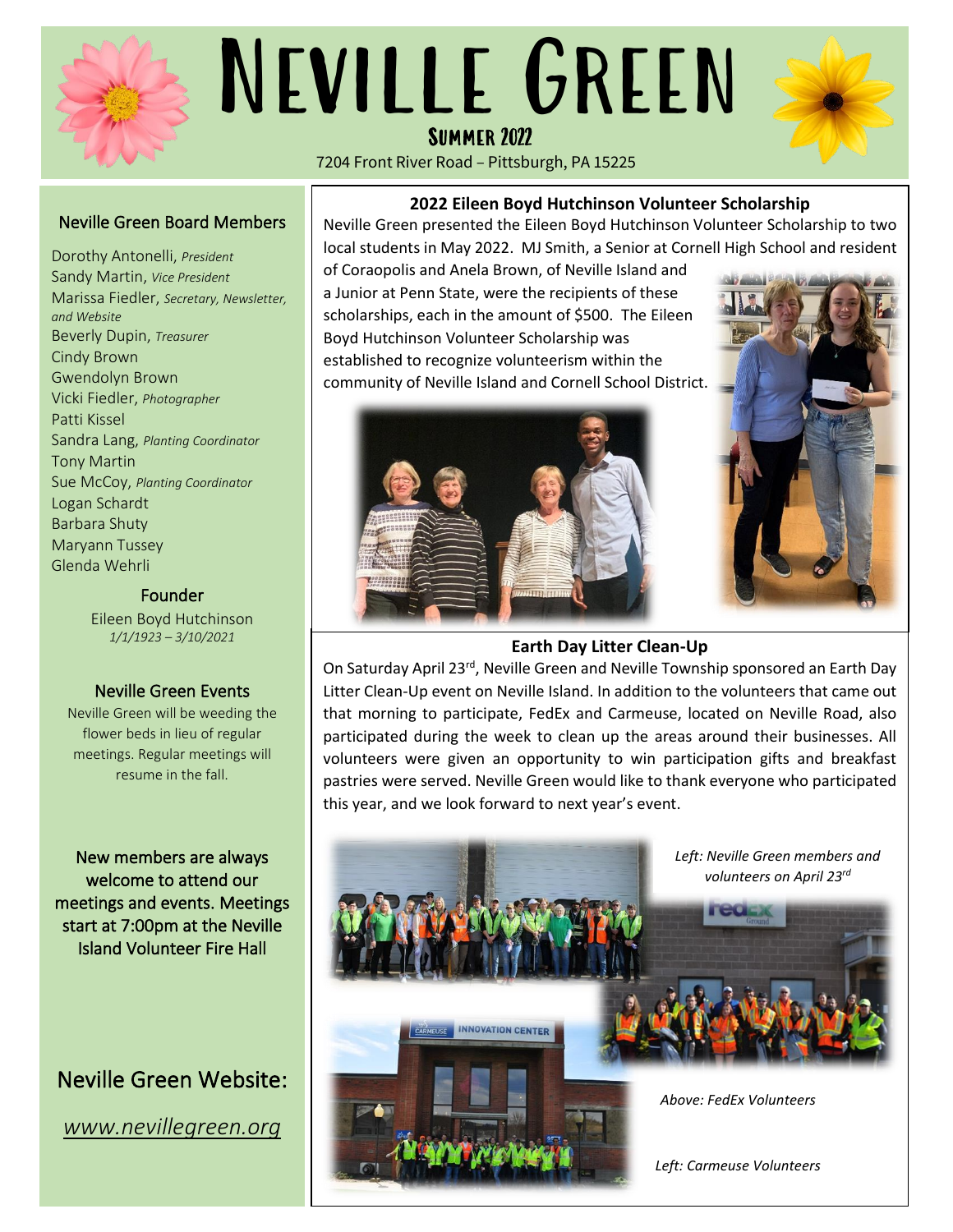

# Summer 2022 Neville Green

7204 Front River Road – Pittsburgh, PA 15225



### Neville Green Board Members

Dorothy Antonelli, *President* Sandy Martin, *Vice President* Marissa Fiedler, *Secretary, Newsletter, and Website* Beverly Dupin, *Treasurer* Cindy Brown Gwendolyn Brown Vicki Fiedler, *Photographer* Patti Kissel Sandra Lang, *Planting Coordinator* Tony Martin Sue McCoy, *Planting Coordinator* Logan Schardt Barbara Shuty Maryann Tussey Glenda Wehrli

#### Founder

Eileen Boyd Hutchinson *1/1/1923 – 3/10/2021*

#### Neville Green Events

Neville Green will be weeding the flower beds in lieu of regular meetings. Regular meetings will resume in the fall.

New members are always welcome to attend our meetings and events. Meetings start at 7:00pm at the Neville Island Volunteer Fire Hall

## Neville Green Website:

*www.nevillegreen.org* 

**2022 Eileen Boyd Hutchinson Volunteer Scholarship**

Neville Green presented the Eileen Boyd Hutchinson Volunteer Scholarship to two local students in May 2022. MJ Smith, a Senior at Cornell High School and resident

of Coraopolis and Anela Brown, of Neville Island and a Junior at Penn State, were the recipients of these scholarships, each in the amount of \$500. The Eileen Boyd Hutchinson Volunteer Scholarship was established to recognize volunteerism within the community of Neville Island and Cornell School District.





#### **Earth Day Litter Clean-Up**

On Saturday April 23rd, Neville Green and Neville Township sponsored an Earth Day Litter Clean-Up event on Neville Island. In addition to the volunteers that came out that morning to participate, FedEx and Carmeuse, located on Neville Road, also participated during the week to clean up the areas around their businesses. All volunteers were given an opportunity to win participation gifts and breakfast pastries were served. Neville Green would like to thank everyone who participated this year, and we look forward to next year's event.